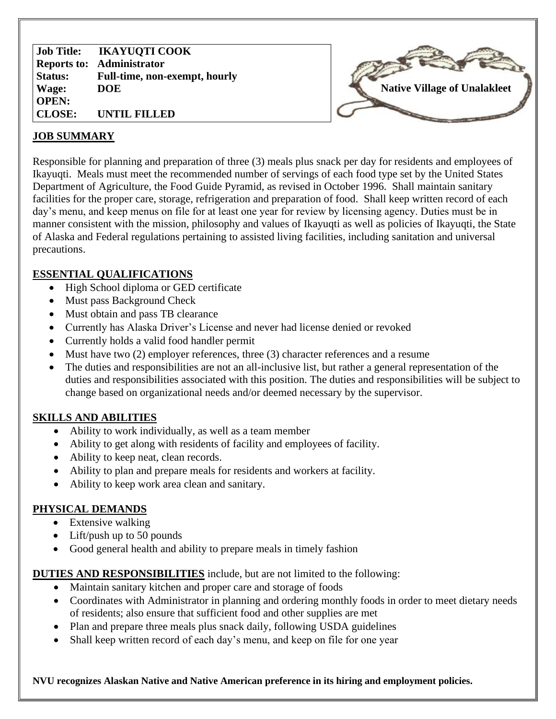**Job Title: Reports to: Administrator Status: Wage: OPEN: CLOSE: IKAYUQTI COOK Full-time, non-exempt, hourly DOE UNTIL FILLED**



#### **JOB SUMMARY**

Responsible for planning and preparation of three (3) meals plus snack per day for residents and employees of Ikayuqti. Meals must meet the recommended number of servings of each food type set by the United States Department of Agriculture, the Food Guide Pyramid, as revised in October 1996. Shall maintain sanitary facilities for the proper care, storage, refrigeration and preparation of food. Shall keep written record of each day's menu, and keep menus on file for at least one year for review by licensing agency. Duties must be in manner consistent with the mission, philosophy and values of Ikayuqti as well as policies of Ikayuqti, the State of Alaska and Federal regulations pertaining to assisted living facilities, including sanitation and universal precautions.

### **ESSENTIAL QUALIFICATIONS**

- High School diploma or GED certificate
- Must pass Background Check
- Must obtain and pass TB clearance
- Currently has Alaska Driver's License and never had license denied or revoked
- Currently holds a valid food handler permit
- Must have two (2) employer references, three (3) character references and a resume
- The duties and responsibilities are not an all-inclusive list, but rather a general representation of the duties and responsibilities associated with this position. The duties and responsibilities will be subject to change based on organizational needs and/or deemed necessary by the supervisor.

# **SKILLS AND ABILITIES**

- Ability to work individually, as well as a team member
- Ability to get along with residents of facility and employees of facility.
- Ability to keep neat, clean records.
- Ability to plan and prepare meals for residents and workers at facility.
- Ability to keep work area clean and sanitary.

#### **PHYSICAL DEMANDS**

- Extensive walking
- Lift/push up to 50 pounds
- Good general health and ability to prepare meals in timely fashion

# **DUTIES AND RESPONSIBILITIES** include, but are not limited to the following:

- Maintain sanitary kitchen and proper care and storage of foods
- Coordinates with Administrator in planning and ordering monthly foods in order to meet dietary needs of residents; also ensure that sufficient food and other supplies are met
- Plan and prepare three meals plus snack daily, following USDA guidelines
- Shall keep written record of each day's menu, and keep on file for one year

**NVU recognizes Alaskan Native and Native American preference in its hiring and employment policies.**